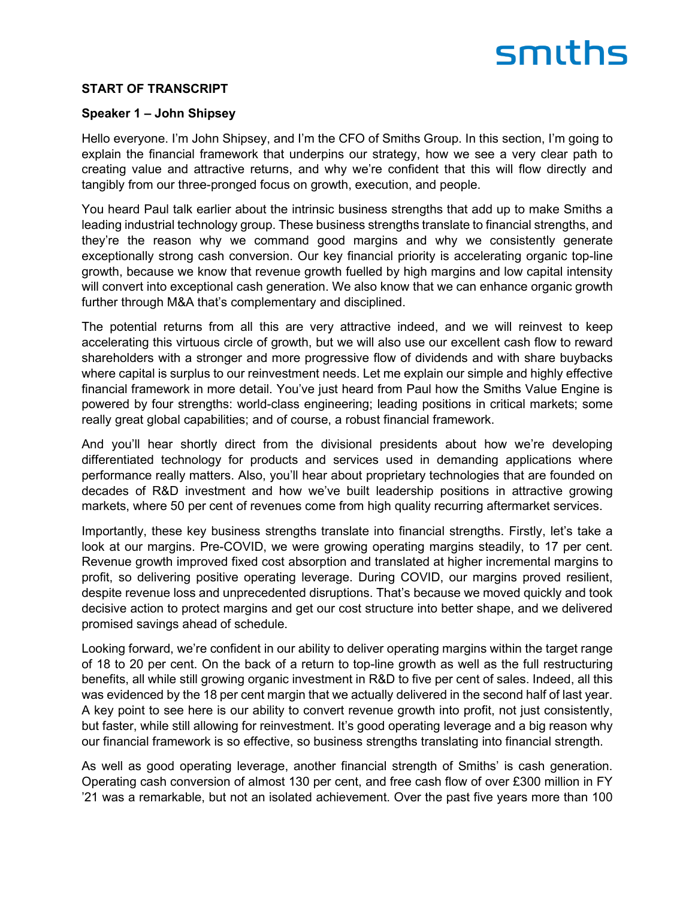#### **START OF TRANSCRIPT**

#### **Speaker 1 – John Shipsey**

Hello everyone. I'm John Shipsey, and I'm the CFO of Smiths Group. In this section, I'm going to explain the financial framework that underpins our strategy, how we see a very clear path to creating value and attractive returns, and why we're confident that this will flow directly and tangibly from our three-pronged focus on growth, execution, and people.

You heard Paul talk earlier about the intrinsic business strengths that add up to make Smiths a leading industrial technology group. These business strengths translate to financial strengths, and they're the reason why we command good margins and why we consistently generate exceptionally strong cash conversion. Our key financial priority is accelerating organic top-line growth, because we know that revenue growth fuelled by high margins and low capital intensity will convert into exceptional cash generation. We also know that we can enhance organic growth further through M&A that's complementary and disciplined.

The potential returns from all this are very attractive indeed, and we will reinvest to keep accelerating this virtuous circle of growth, but we will also use our excellent cash flow to reward shareholders with a stronger and more progressive flow of dividends and with share buybacks where capital is surplus to our reinvestment needs. Let me explain our simple and highly effective financial framework in more detail. You've just heard from Paul how the Smiths Value Engine is powered by four strengths: world-class engineering; leading positions in critical markets; some really great global capabilities; and of course, a robust financial framework.

And you'll hear shortly direct from the divisional presidents about how we're developing differentiated technology for products and services used in demanding applications where performance really matters. Also, you'll hear about proprietary technologies that are founded on decades of R&D investment and how we've built leadership positions in attractive growing markets, where 50 per cent of revenues come from high quality recurring aftermarket services.

Importantly, these key business strengths translate into financial strengths. Firstly, let's take a look at our margins. Pre-COVID, we were growing operating margins steadily, to 17 per cent. Revenue growth improved fixed cost absorption and translated at higher incremental margins to profit, so delivering positive operating leverage. During COVID, our margins proved resilient, despite revenue loss and unprecedented disruptions. That's because we moved quickly and took decisive action to protect margins and get our cost structure into better shape, and we delivered promised savings ahead of schedule.

Looking forward, we're confident in our ability to deliver operating margins within the target range of 18 to 20 per cent. On the back of a return to top-line growth as well as the full restructuring benefits, all while still growing organic investment in R&D to five per cent of sales. Indeed, all this was evidenced by the 18 per cent margin that we actually delivered in the second half of last year. A key point to see here is our ability to convert revenue growth into profit, not just consistently, but faster, while still allowing for reinvestment. It's good operating leverage and a big reason why our financial framework is so effective, so business strengths translating into financial strength.

As well as good operating leverage, another financial strength of Smiths' is cash generation. Operating cash conversion of almost 130 per cent, and free cash flow of over £300 million in FY '21 was a remarkable, but not an isolated achievement. Over the past five years more than 100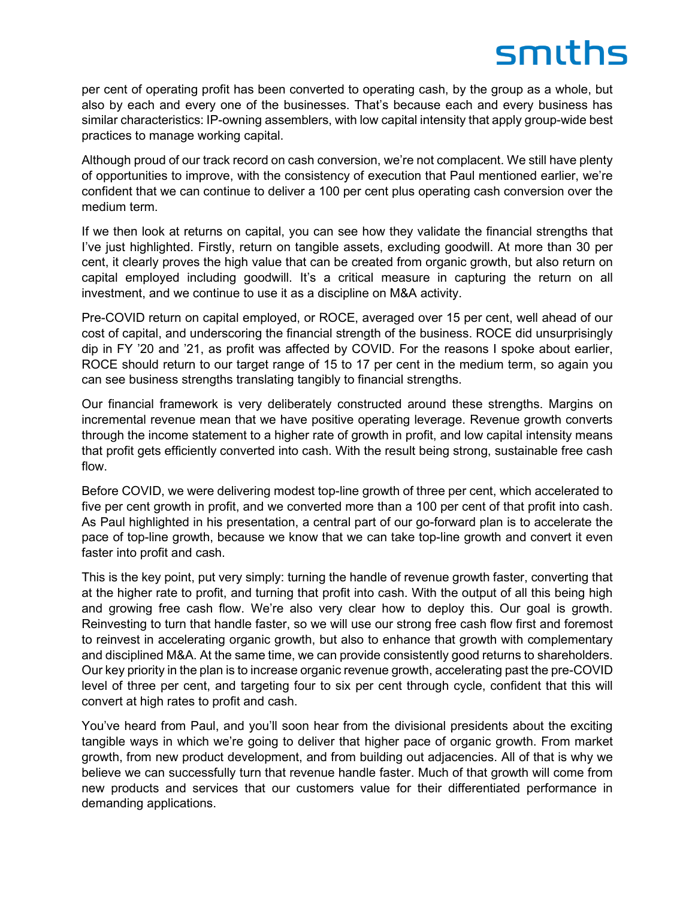per cent of operating profit has been converted to operating cash, by the group as a whole, but also by each and every one of the businesses. That's because each and every business has similar characteristics: IP-owning assemblers, with low capital intensity that apply group-wide best practices to manage working capital.

Although proud of our track record on cash conversion, we're not complacent. We still have plenty of opportunities to improve, with the consistency of execution that Paul mentioned earlier, we're confident that we can continue to deliver a 100 per cent plus operating cash conversion over the medium term.

If we then look at returns on capital, you can see how they validate the financial strengths that I've just highlighted. Firstly, return on tangible assets, excluding goodwill. At more than 30 per cent, it clearly proves the high value that can be created from organic growth, but also return on capital employed including goodwill. It's a critical measure in capturing the return on all investment, and we continue to use it as a discipline on M&A activity.

Pre-COVID return on capital employed, or ROCE, averaged over 15 per cent, well ahead of our cost of capital, and underscoring the financial strength of the business. ROCE did unsurprisingly dip in FY '20 and '21, as profit was affected by COVID. For the reasons I spoke about earlier, ROCE should return to our target range of 15 to 17 per cent in the medium term, so again you can see business strengths translating tangibly to financial strengths.

Our financial framework is very deliberately constructed around these strengths. Margins on incremental revenue mean that we have positive operating leverage. Revenue growth converts through the income statement to a higher rate of growth in profit, and low capital intensity means that profit gets efficiently converted into cash. With the result being strong, sustainable free cash flow.

Before COVID, we were delivering modest top-line growth of three per cent, which accelerated to five per cent growth in profit, and we converted more than a 100 per cent of that profit into cash. As Paul highlighted in his presentation, a central part of our go-forward plan is to accelerate the pace of top-line growth, because we know that we can take top-line growth and convert it even faster into profit and cash.

This is the key point, put very simply: turning the handle of revenue growth faster, converting that at the higher rate to profit, and turning that profit into cash. With the output of all this being high and growing free cash flow. We're also very clear how to deploy this. Our goal is growth. Reinvesting to turn that handle faster, so we will use our strong free cash flow first and foremost to reinvest in accelerating organic growth, but also to enhance that growth with complementary and disciplined M&A. At the same time, we can provide consistently good returns to shareholders. Our key priority in the plan is to increase organic revenue growth, accelerating past the pre-COVID level of three per cent, and targeting four to six per cent through cycle, confident that this will convert at high rates to profit and cash.

You've heard from Paul, and you'll soon hear from the divisional presidents about the exciting tangible ways in which we're going to deliver that higher pace of organic growth. From market growth, from new product development, and from building out adjacencies. All of that is why we believe we can successfully turn that revenue handle faster. Much of that growth will come from new products and services that our customers value for their differentiated performance in demanding applications.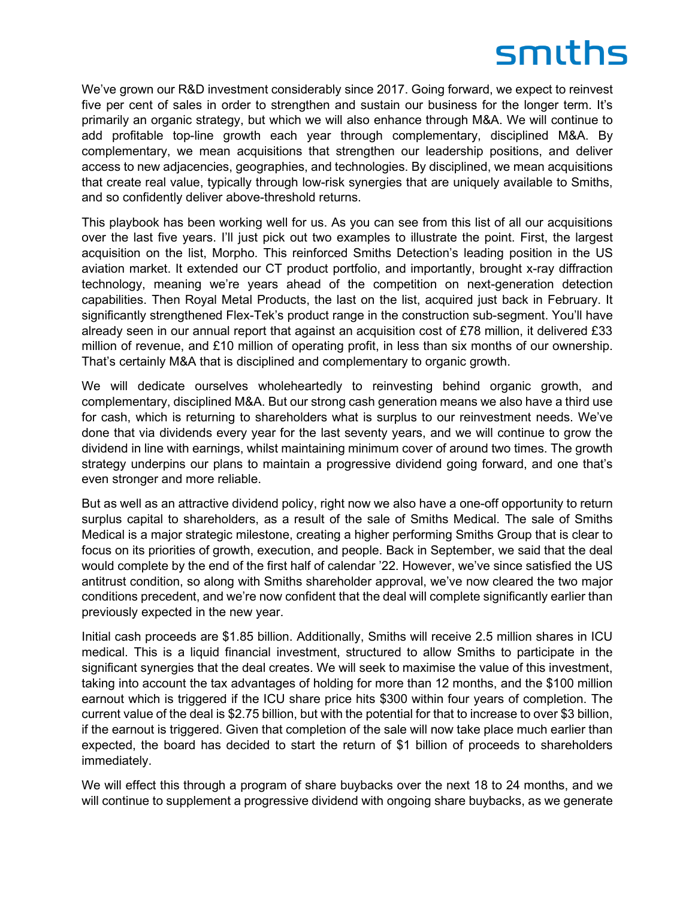We've grown our R&D investment considerably since 2017. Going forward, we expect to reinvest five per cent of sales in order to strengthen and sustain our business for the longer term. It's primarily an organic strategy, but which we will also enhance through M&A. We will continue to add profitable top-line growth each year through complementary, disciplined M&A. By complementary, we mean acquisitions that strengthen our leadership positions, and deliver access to new adjacencies, geographies, and technologies. By disciplined, we mean acquisitions that create real value, typically through low-risk synergies that are uniquely available to Smiths, and so confidently deliver above-threshold returns.

This playbook has been working well for us. As you can see from this list of all our acquisitions over the last five years. I'll just pick out two examples to illustrate the point. First, the largest acquisition on the list, Morpho. This reinforced Smiths Detection's leading position in the US aviation market. It extended our CT product portfolio, and importantly, brought x-ray diffraction technology, meaning we're years ahead of the competition on next-generation detection capabilities. Then Royal Metal Products, the last on the list, acquired just back in February. It significantly strengthened Flex-Tek's product range in the construction sub-segment. You'll have already seen in our annual report that against an acquisition cost of £78 million, it delivered £33 million of revenue, and £10 million of operating profit, in less than six months of our ownership. That's certainly M&A that is disciplined and complementary to organic growth.

We will dedicate ourselves wholeheartedly to reinvesting behind organic growth, and complementary, disciplined M&A. But our strong cash generation means we also have a third use for cash, which is returning to shareholders what is surplus to our reinvestment needs. We've done that via dividends every year for the last seventy years, and we will continue to grow the dividend in line with earnings, whilst maintaining minimum cover of around two times. The growth strategy underpins our plans to maintain a progressive dividend going forward, and one that's even stronger and more reliable.

But as well as an attractive dividend policy, right now we also have a one-off opportunity to return surplus capital to shareholders, as a result of the sale of Smiths Medical. The sale of Smiths Medical is a major strategic milestone, creating a higher performing Smiths Group that is clear to focus on its priorities of growth, execution, and people. Back in September, we said that the deal would complete by the end of the first half of calendar '22. However, we've since satisfied the US antitrust condition, so along with Smiths shareholder approval, we've now cleared the two major conditions precedent, and we're now confident that the deal will complete significantly earlier than previously expected in the new year.

Initial cash proceeds are \$1.85 billion. Additionally, Smiths will receive 2.5 million shares in ICU medical. This is a liquid financial investment, structured to allow Smiths to participate in the significant synergies that the deal creates. We will seek to maximise the value of this investment, taking into account the tax advantages of holding for more than 12 months, and the \$100 million earnout which is triggered if the ICU share price hits \$300 within four years of completion. The current value of the deal is \$2.75 billion, but with the potential for that to increase to over \$3 billion, if the earnout is triggered. Given that completion of the sale will now take place much earlier than expected, the board has decided to start the return of \$1 billion of proceeds to shareholders immediately.

We will effect this through a program of share buybacks over the next 18 to 24 months, and we will continue to supplement a progressive dividend with ongoing share buybacks, as we generate